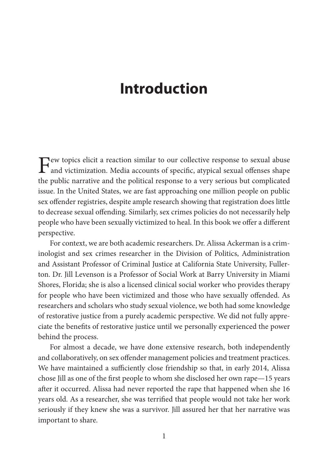## **Introduction**

Few topics elicit a reaction similar to our collective response to sexual abuse<br>and victimization. Media accounts of specific, atypical sexual offenses shape the public narrative and the political response to a very serious but complicated issue. In the United States, we are fast approaching one million people on public sex offender registries, despite ample research showing that registration does little to decrease sexual offending. Similarly, sex crimes policies do not necessarily help people who have been sexually victimized to heal. In this book we offer a different perspective.

For context, we are both academic researchers. Dr. Alissa Ackerman is a criminologist and sex crimes researcher in the Division of Politics, Administration and Assistant Professor of Criminal Justice at California State University, Fullerton. Dr. Jill Levenson is a Professor of Social Work at Barry University in Miami Shores, Florida; she is also a licensed clinical social worker who provides therapy for people who have been victimized and those who have sexually offended. As researchers and scholars who study sexual violence, we both had some knowledge of restorative justice from a purely academic perspective. We did not fully appreciate the benefits of restorative justice until we personally experienced the power behind the process.

For almost a decade, we have done extensive research, both independently and collaboratively, on sex offender management policies and treatment practices. We have maintained a sufficiently close friendship so that, in early 2014, Alissa chose Jill as one of the first people to whom she disclosed her own rape—15 years after it occurred. Alissa had never reported the rape that happened when she 16 years old. As a researcher, she was terrified that people would not take her work seriously if they knew she was a survivor. Jill assured her that her narrative was important to share.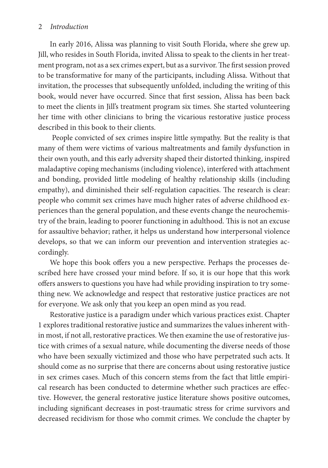## 2 *Introduction*

In early 2016, Alissa was planning to visit South Florida, where she grew up. Jill, who resides in South Florida, invited Alissa to speak to the clients in her treatment program, not as a sex crimes expert, but as a survivor. The first session proved to be transformative for many of the participants, including Alissa. Without that invitation, the processes that subsequently unfolded, including the writing of this book, would never have occurred. Since that first session, Alissa has been back to meet the clients in Jill's treatment program six times. She started volunteering her time with other clinicians to bring the vicarious restorative justice process described in this book to their clients.

 People convicted of sex crimes inspire little sympathy. But the reality is that many of them were victims of various maltreatments and family dysfunction in their own youth, and this early adversity shaped their distorted thinking, inspired maladaptive coping mechanisms (including violence), interfered with attachment and bonding, provided little modeling of healthy relationship skills (including empathy), and diminished their self-regulation capacities. The research is clear: people who commit sex crimes have much higher rates of adverse childhood experiences than the general population, and these events change the neurochemistry of the brain, leading to poorer functioning in adulthood. This is not an excuse for assaultive behavior; rather, it helps us understand how interpersonal violence develops, so that we can inform our prevention and intervention strategies accordingly.

We hope this book offers you a new perspective. Perhaps the processes described here have crossed your mind before. If so, it is our hope that this work offers answers to questions you have had while providing inspiration to try something new. We acknowledge and respect that restorative justice practices are not for everyone. We ask only that you keep an open mind as you read.

Restorative justice is a paradigm under which various practices exist. Chapter 1 explores traditional restorative justice and summarizes the values inherent within most, if not all, restorative practices. We then examine the use of restorative justice with crimes of a sexual nature, while documenting the diverse needs of those who have been sexually victimized and those who have perpetrated such acts. It should come as no surprise that there are concerns about using restorative justice in sex crimes cases. Much of this concern stems from the fact that little empirical research has been conducted to determine whether such practices are effective. However, the general restorative justice literature shows positive outcomes, including significant decreases in post-traumatic stress for crime survivors and decreased recidivism for those who commit crimes. We conclude the chapter by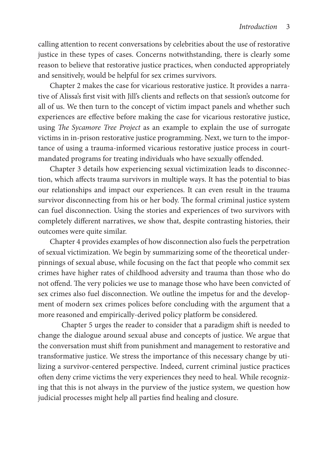calling attention to recent conversations by celebrities about the use of restorative justice in these types of cases. Concerns notwithstanding, there is clearly some reason to believe that restorative justice practices, when conducted appropriately and sensitively, would be helpful for sex crimes survivors.

Chapter 2 makes the case for vicarious restorative justice. It provides a narrative of Alissa's first visit with Jill's clients and reflects on that session's outcome for all of us. We then turn to the concept of victim impact panels and whether such experiences are effective before making the case for vicarious restorative justice, using *The Sycamore Tree Project* as an example to explain the use of surrogate victims in in-prison restorative justice programming. Next, we turn to the importance of using a trauma-informed vicarious restorative justice process in courtmandated programs for treating individuals who have sexually offended.

Chapter 3 details how experiencing sexual victimization leads to disconnection, which affects trauma survivors in multiple ways. It has the potential to bias our relationships and impact our experiences. It can even result in the trauma survivor disconnecting from his or her body. The formal criminal justice system can fuel disconnection. Using the stories and experiences of two survivors with completely different narratives, we show that, despite contrasting histories, their outcomes were quite similar.

Chapter 4 provides examples of how disconnection also fuels the perpetration of sexual victimization. We begin by summarizing some of the theoretical underpinnings of sexual abuse, while focusing on the fact that people who commit sex crimes have higher rates of childhood adversity and trauma than those who do not offend. The very policies we use to manage those who have been convicted of sex crimes also fuel disconnection. We outline the impetus for and the development of modern sex crimes polices before concluding with the argument that a more reasoned and empirically-derived policy platform be considered.

Chapter 5 urges the reader to consider that a paradigm shift is needed to change the dialogue around sexual abuse and concepts of justice. We argue that the conversation must shift from punishment and management to restorative and transformative justice. We stress the importance of this necessary change by utilizing a survivor-centered perspective. Indeed, current criminal justice practices often deny crime victims the very experiences they need to heal. While recognizing that this is not always in the purview of the justice system, we question how judicial processes might help all parties find healing and closure.